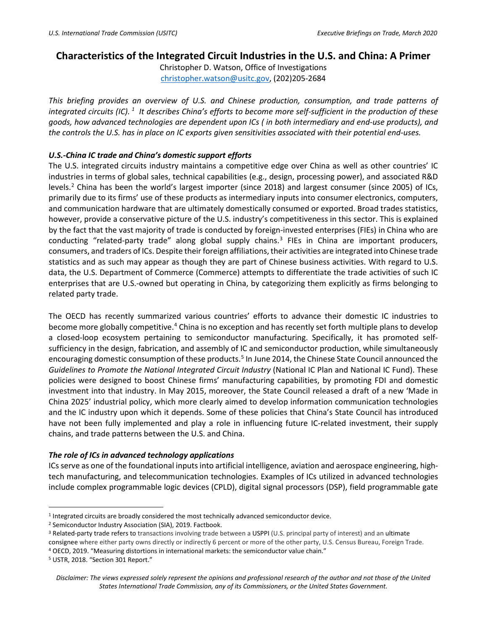## **Characteristics of the Integrated Circuit Industries in the U.S. and China: A Primer**

Christopher D. Watson, Office of Investigations [christopher.watson@usitc.gov,](mailto:christopher.watson@usitc.gov) (202)205-2684

*This briefing provides an overview of U.S. and Chinese production, consumption, and trade patterns of integrated circuits (IC). [1](#page-0-0) It describes China's efforts to become more self-sufficient in the production of these goods, how advanced technologies are dependent upon ICs ( in both intermediary and end-use products), and the controls the U.S. has in place on IC exports given sensitivities associated with their potential end-uses.* 

## *U.S.-China IC trade and China's domestic support efforts*

The U.S. integrated circuits industry maintains a competitive edge over China as well as other countries' IC industries in terms of global sales, technical capabilities (e.g., design, processing power), and associated R&D levels.<sup>[2](#page-0-1)</sup> China has been the world's largest importer (since 2018) and largest consumer (since 2005) of ICs, primarily due to its firms' use of these products as intermediary inputs into consumer electronics, computers, and communication hardware that are ultimately domestically consumed or exported. Broad trades statistics, however, provide a conservative picture of the U.S. industry's competitiveness in this sector. This is explained by the fact that the vast majority of trade is conducted by foreign-invested enterprises (FIEs) in China who are conducting "related-party trade" along global supply chains.<sup>[3](#page-0-2)</sup> FIEs in China are important producers, consumers, and traders of ICs. Despite their foreign affiliations, their activities are integrated into Chinese trade statistics and as such may appear as though they are part of Chinese business activities. With regard to U.S. data, the U.S. Department of Commerce (Commerce) attempts to differentiate the trade activities of such IC enterprises that are U.S.-owned but operating in China, by categorizing them explicitly as firms belonging to related party trade.

The OECD has recently summarized various countries' efforts to advance their domestic IC industries to become more globally competitive.<sup>[4](#page-0-3)</sup> China is no exception and has recently set forth multiple plans to develop a closed-loop ecosystem pertaining to semiconductor manufacturing. Specifically, it has promoted selfsufficiency in the design, fabrication, and assembly of IC and semiconductor production, while simultaneously encouraging domestic consumption of these products.<sup>[5](#page-0-4)</sup> In June 2014, the Chinese State Council announced the *Guidelines to Promote the National Integrated Circuit Industry* (National IC Plan and National IC Fund). These policies were designed to boost Chinese firms' manufacturing capabilities, by promoting FDI and domestic investment into that industry. In May 2015, moreover, the State Council released a draft of a new 'Made in China 2025' industrial policy, which more clearly aimed to develop information communication technologies and the IC industry upon which it depends. Some of these policies that China's State Council has introduced have not been fully implemented and play a role in influencing future IC-related investment, their supply chains, and trade patterns between the U.S. and China.

## *The role of ICs in advanced technology applications*

ICs serve as one of the foundational inputs into artificial intelligence, aviation and aerospace engineering, hightech manufacturing, and telecommunication technologies. Examples of ICs utilized in advanced technologies include complex programmable logic devices (CPLD), digital signal processors (DSP), field programmable gate

<span id="page-0-0"></span><sup>&</sup>lt;sup>1</sup> Integrated circuits are broadly considered the most technically advanced semiconductor device.<br><sup>2</sup> Semiconductor Industry Association (SIA), 2019. Factbook.

<span id="page-0-1"></span>

<span id="page-0-2"></span><sup>&</sup>lt;sup>3</sup> Related-party trade refers to transactions involving trade between a USPPI (U.S. principal party of interest) and an ultimate consignee where either party owns directly or indirectly 6 percent or more of the other party, U.S. Census Bureau, Foreign Trade. <sup>4</sup> OECD, 2019. "Measuring distortions in international markets: the semiconductor value chain."

<span id="page-0-4"></span><span id="page-0-3"></span><sup>5</sup> USTR, 2018. "Section 301 Report."

*Disclaimer: The views expressed solely represent the opinions and professional research of the author and not those of the United States International Trade Commission, any of its Commissioners, or the United States Government.*